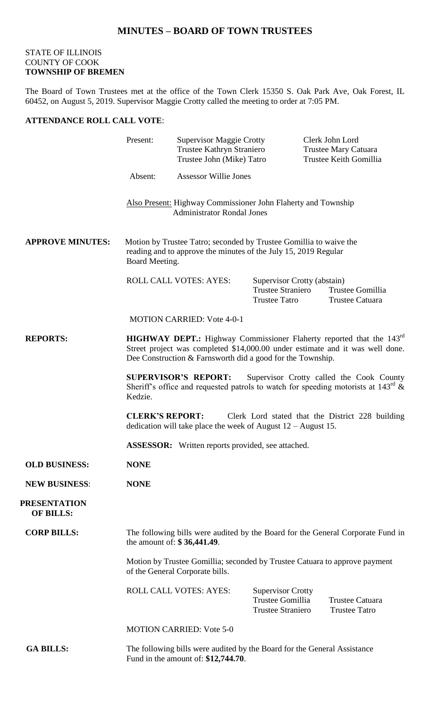## **MINUTES – BOARD OF TOWN TRUSTEES**

#### STATE OF ILLINOIS COUNTY OF COOK **TOWNSHIP OF BREMEN**

The Board of Town Trustees met at the office of the Town Clerk 15350 S. Oak Park Ave, Oak Forest, IL 60452, on August 5, 2019. Supervisor Maggie Crotty called the meeting to order at 7:05 PM.

#### **ATTENDANCE ROLL CALL VOTE**:

|                                         | Present:                                                                                                                                                                                                                               | <b>Supervisor Maggie Crotty</b><br>Trustee Kathryn Straniero<br>Trustee John (Mike) Tatro |                                                                                 |  | Clerk John Lord<br><b>Trustee Mary Catuara</b><br>Trustee Keith Gomillia |
|-----------------------------------------|----------------------------------------------------------------------------------------------------------------------------------------------------------------------------------------------------------------------------------------|-------------------------------------------------------------------------------------------|---------------------------------------------------------------------------------|--|--------------------------------------------------------------------------|
|                                         | Absent:                                                                                                                                                                                                                                | <b>Assessor Willie Jones</b>                                                              |                                                                                 |  |                                                                          |
|                                         | Also Present: Highway Commissioner John Flaherty and Township<br><b>Administrator Rondal Jones</b>                                                                                                                                     |                                                                                           |                                                                                 |  |                                                                          |
| <b>APPROVE MINUTES:</b>                 | Motion by Trustee Tatro; seconded by Trustee Gomillia to waive the<br>reading and to approve the minutes of the July 15, 2019 Regular<br>Board Meeting.                                                                                |                                                                                           |                                                                                 |  |                                                                          |
|                                         |                                                                                                                                                                                                                                        | <b>ROLL CALL VOTES: AYES:</b>                                                             | Supervisor Crotty (abstain)<br><b>Trustee Straniero</b><br><b>Trustee Tatro</b> |  | Trustee Gomillia<br>Trustee Catuara                                      |
|                                         |                                                                                                                                                                                                                                        | <b>MOTION CARRIED: Vote 4-0-1</b>                                                         |                                                                                 |  |                                                                          |
| <b>REPORTS:</b>                         | <b>HIGHWAY DEPT.:</b> Highway Commissioner Flaherty reported that the 143 <sup>rd</sup><br>Street project was completed \$14,000.00 under estimate and it was well done.<br>Dee Construction & Farnsworth did a good for the Township. |                                                                                           |                                                                                 |  |                                                                          |
|                                         | Supervisor Crotty called the Cook County<br><b>SUPERVISOR'S REPORT:</b><br>Sheriff's office and requested patrols to watch for speeding motorists at $143^{\text{rd}}$ &<br>Kedzie.                                                    |                                                                                           |                                                                                 |  |                                                                          |
|                                         | <b>CLERK'S REPORT:</b><br>Clerk Lord stated that the District 228 building<br>dedication will take place the week of August $12 -$ August 15.                                                                                          |                                                                                           |                                                                                 |  |                                                                          |
|                                         | <b>ASSESSOR:</b> Written reports provided, see attached.                                                                                                                                                                               |                                                                                           |                                                                                 |  |                                                                          |
| <b>OLD BUSINESS:</b>                    | <b>NONE</b>                                                                                                                                                                                                                            |                                                                                           |                                                                                 |  |                                                                          |
| <b>NEW BUSINESS:</b>                    | <b>NONE</b>                                                                                                                                                                                                                            |                                                                                           |                                                                                 |  |                                                                          |
| <b>PRESENTATION</b><br><b>OF BILLS:</b> |                                                                                                                                                                                                                                        |                                                                                           |                                                                                 |  |                                                                          |
| <b>CORP BILLS:</b>                      | The following bills were audited by the Board for the General Corporate Fund in<br>the amount of: \$36,441.49.                                                                                                                         |                                                                                           |                                                                                 |  |                                                                          |
|                                         | Motion by Trustee Gomillia; seconded by Trustee Catuara to approve payment<br>of the General Corporate bills.                                                                                                                          |                                                                                           |                                                                                 |  |                                                                          |
|                                         |                                                                                                                                                                                                                                        | <b>ROLL CALL VOTES: AYES:</b>                                                             | <b>Supervisor Crotty</b><br>Trustee Gomillia<br><b>Trustee Straniero</b>        |  | Trustee Catuara<br><b>Trustee Tatro</b>                                  |
|                                         |                                                                                                                                                                                                                                        | <b>MOTION CARRIED: Vote 5-0</b>                                                           |                                                                                 |  |                                                                          |
| <b>GA BILLS:</b>                        | The following bills were audited by the Board for the General Assistance<br>Fund in the amount of: \$12,744.70.                                                                                                                        |                                                                                           |                                                                                 |  |                                                                          |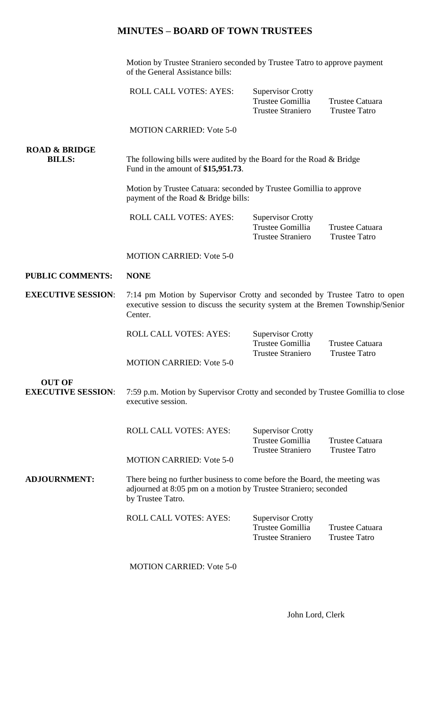#### **MINUTES – BOARD OF TOWN TRUSTEES**

Motion by Trustee Straniero seconded by Trustee Tatro to approve payment of the General Assistance bills:

ROLL CALL VOTES: AYES:

| <b>Supervisor Crotty</b> |       |
|--------------------------|-------|
| Trustee Gomillia         | Trust |
| <b>Trustee Straniero</b> | Trust |

Trustee Straniero Trustee Tatro

tee Catuara tee Tatro

MOTION CARRIED: Vote 5-0

 **ROAD & BRIDGE BILLS:** The following bills were audited by the Board for the Road & Bridge Fund in the amount of **\$15,951.73**.

> Motion by Trustee Catuara: seconded by Trustee Gomillia to approve payment of the Road & Bridge bills:

ROLL CALL VOTES: AYES: Supervisor Crotty Trustee Gomillia Trustee Catuara

MOTION CARRIED: Vote 5-0

#### **PUBLIC COMMENTS: NONE**

**EXECUTIVE SESSION:** 7:14 pm Motion by Supervisor Crotty and seconded by Trustee Tatro to open executive session to discuss the security system at the Bremen Township/Senior Center.

ROLL CALL VOTES: AYES: Supervisor Crotty

MOTION CARRIED: Vote 5-0

Trustee Gomillia Trustee Catuara Trustee Straniero Trustee Tatro

 **OUT OF**

**EXECUTIVE SESSION:** 7:59 p.m. Motion by Supervisor Crotty and seconded by Trustee Gomillia to close executive session.

> ROLL CALL VOTES: AYES: Supervisor Crotty Trustee Gomillia Trustee Catuara Trustee Straniero Trustee Tatro

MOTION CARRIED: Vote 5-0

**ADJOURNMENT:** There being no further business to come before the Board, the meeting was adjourned at 8:05 pm on a motion by Trustee Straniero; seconded by Trustee Tatro.

> ROLL CALL VOTES: AYES: Supervisor Crotty Trustee Gomillia Trustee Catuara<br>Trustee Straniero Trustee Tatro Trustee Straniero

MOTION CARRIED: Vote 5-0

John Lord, Clerk